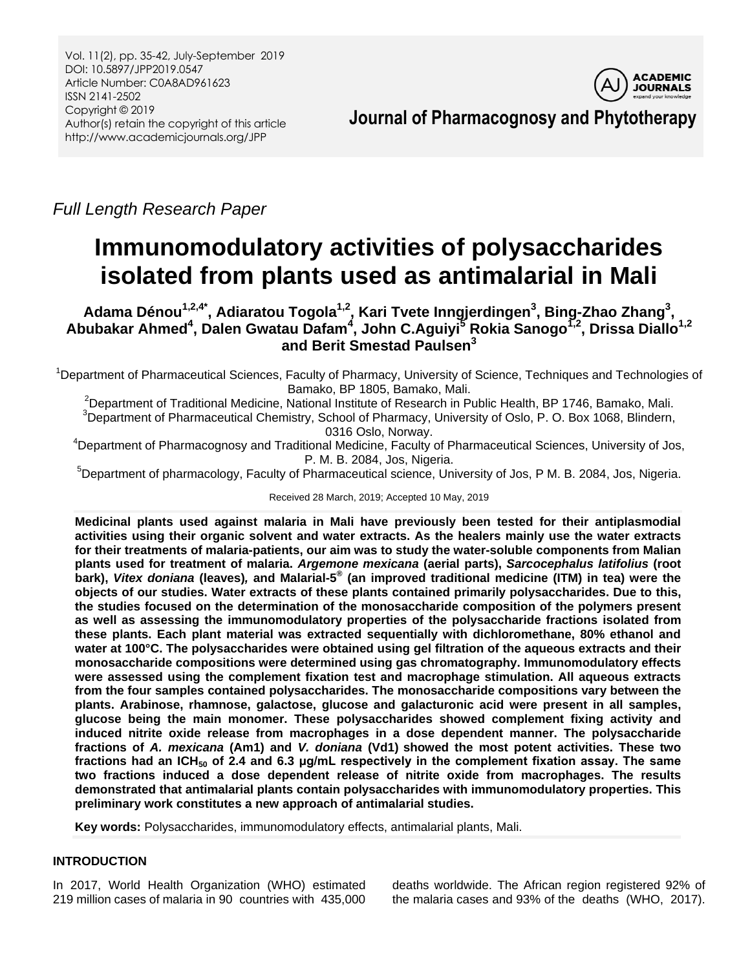

**Journal of Pharmacognosy and Phytotherapy**

*Full Length Research Paper*

# **Immunomodulatory activities of polysaccharides isolated from plants used as antimalarial in Mali**

**Adama Dénou1,2,4\* , Adiaratou Togola1,2, Kari Tvete Inngjerdingen<sup>3</sup> , Bing-Zhao Zhang<sup>3</sup> , Abubakar Ahmed<sup>4</sup> , Dalen Gwatau Dafam<sup>4</sup> , John C.Aguiyi<sup>5</sup> Rokia Sanogo1,2, Drissa Diallo1,2 and Berit Smestad Paulsen<sup>3</sup>**

<sup>1</sup>Department of Pharmaceutical Sciences, Faculty of Pharmacy, University of Science, Techniques and Technologies of Bamako, BP 1805, Bamako, Mali.

<sup>2</sup>Department of Traditional Medicine, National Institute of Research in Public Health, BP 1746, Bamako, Mali. <sup>3</sup>Department of Pharmaceutical Chemistry, School of Pharmacy, University of Oslo, P. O. Box 1068, Blindern, 0316 Oslo, Norway.

<sup>4</sup>Department of Pharmacognosy and Traditional Medicine, Faculty of Pharmaceutical Sciences, University of Jos, P. M. B. 2084, Jos, Nigeria.

<sup>5</sup>Department of pharmacology, Faculty of Pharmaceutical science, University of Jos, P M. B. 2084, Jos, Nigeria.

Received 28 March, 2019; Accepted 10 May, 2019

**Medicinal plants used against malaria in Mali have previously been tested for their antiplasmodial activities using their organic solvent and water extracts. As the healers mainly use the water extracts for their treatments of malaria-patients, our aim was to study the water-soluble components from Malian plants used for treatment of malaria.** *Argemone mexicana* **(aerial parts),** *Sarcocephalus latifolius* **(root bark),** *Vitex doniana* **(leaves)***,* **and Malarial-5 ® (an improved traditional medicine (ITM) in tea) were the objects of our studies. Water extracts of these plants contained primarily polysaccharides. Due to this, the studies focused on the determination of the monosaccharide composition of the polymers present as well as assessing the immunomodulatory properties of the polysaccharide fractions isolated from these plants. Each plant material was extracted sequentially with dichloromethane, 80% ethanol and water at 100°C. The polysaccharides were obtained using gel filtration of the aqueous extracts and their monosaccharide compositions were determined using gas chromatography. Immunomodulatory effects were assessed using the complement fixation test and macrophage stimulation. All aqueous extracts from the four samples contained polysaccharides. The monosaccharide compositions vary between the plants. Arabinose, rhamnose, galactose, glucose and galacturonic acid were present in all samples, glucose being the main monomer. These polysaccharides showed complement fixing activity and induced nitrite oxide release from macrophages in a dose dependent manner. The polysaccharide fractions of** *A. mexicana* **(Am1) and** *V. doniana* **(Vd1) showed the most potent activities. These two fractions had an ICH<sup>50</sup> of 2.4 and 6.3 μg/mL respectively in the complement fixation assay. The same two fractions induced a dose dependent release of nitrite oxide from macrophages. The results demonstrated that antimalarial plants contain polysaccharides with immunomodulatory properties. This preliminary work constitutes a new approach of antimalarial studies.**

**Key words:** Polysaccharides, immunomodulatory effects, antimalarial plants, Mali.

# **INTRODUCTION**

In 2017, World Health Organization (WHO) estimated 219 million cases of malaria in 90 countries with 435,000 deaths worldwide. The African region registered 92% of the malaria cases and 93% of the deaths (WHO, 2017).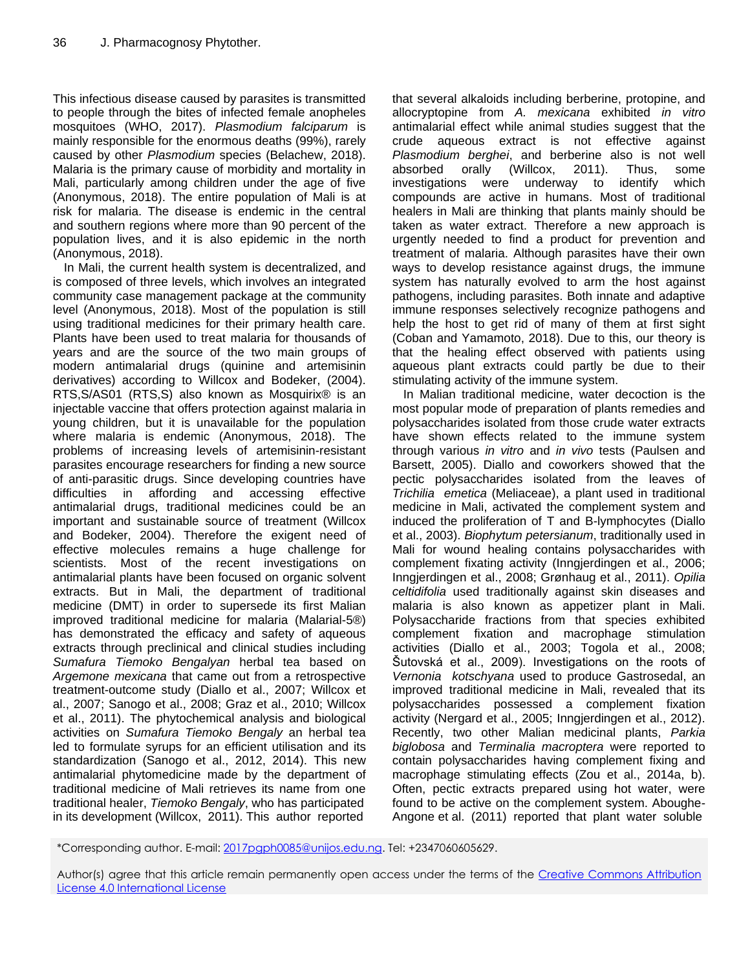This infectious disease caused by parasites is transmitted to people through the bites of infected female anopheles mosquitoes (WHO, 2017). *Plasmodium falciparum* is mainly responsible for the enormous deaths (99%), rarely caused by other *Plasmodium* species (Belachew, 2018). Malaria is the primary cause of morbidity and mortality in Mali, particularly among children under the age of five (Anonymous, 2018). The entire population of Mali is at risk for malaria. The disease is endemic in the central and southern regions where more than 90 percent of the population lives, and it is also epidemic in the north (Anonymous, 2018).

In Mali, the current health system is decentralized, and is composed of three levels, which involves an integrated community case management package at the community level (Anonymous, 2018). Most of the population is still using traditional medicines for their primary health care. Plants have been used to treat malaria for thousands of years and are the source of the two main groups of modern antimalarial drugs (quinine and artemisinin derivatives) according to Willcox and Bodeker, (2004). RTS,S/AS01 (RTS,S) also known as Mosquirix® is an injectable vaccine that offers protection against malaria in young children, but it is unavailable for the population where malaria is endemic (Anonymous, 2018). The problems of increasing levels of artemisinin-resistant parasites encourage researchers for finding a new source of anti-parasitic drugs. Since developing countries have difficulties in affording and accessing effective antimalarial drugs, traditional medicines could be an important and sustainable source of treatment (Willcox and Bodeker, 2004). Therefore the exigent need of effective molecules remains a huge challenge for scientists. Most of the recent investigations on antimalarial plants have been focused on organic solvent extracts. But in Mali, the department of traditional medicine (DMT) in order to supersede its first Malian improved traditional medicine for malaria (Malarial-5®) has demonstrated the efficacy and safety of aqueous extracts through preclinical and clinical studies including *Sumafura Tiemoko Bengalyan* herbal tea based on *Argemone mexicana* that came out from a retrospective treatment-outcome study (Diallo et al., 2007; Willcox et al., 2007; Sanogo et al., 2008; Graz et al., 2010; Willcox et al., 2011). The phytochemical analysis and biological activities on *Sumafura Tiemoko Bengaly* an herbal tea led to formulate syrups for an efficient utilisation and its standardization (Sanogo et al., 2012, 2014). This new antimalarial phytomedicine made by the department of traditional medicine of Mali retrieves its name from one traditional healer, *Tiemoko Bengaly*, who has participated in its development (Willcox, 2011). This author reported

that several alkaloids including berberine, protopine, and allocryptopine from *A. mexicana* exhibited *in vitro* antimalarial effect while animal studies suggest that the crude aqueous extract is not effective against *Plasmodium berghei*, and berberine also is not well absorbed orally (Willcox, 2011). Thus, some investigations were underway to identify which compounds are active in humans. Most of traditional healers in Mali are thinking that plants mainly should be taken as water extract. Therefore a new approach is urgently needed to find a product for prevention and treatment of malaria. Although parasites have their own ways to develop resistance against drugs, the immune system has naturally evolved to arm the host against pathogens, including parasites. Both innate and adaptive immune responses selectively recognize pathogens and help the host to get rid of many of them at first sight (Coban and Yamamoto, 2018). Due to this, our theory is that the healing effect observed with patients using aqueous plant extracts could partly be due to their stimulating activity of the immune system.

In Malian traditional medicine, water decoction is the most popular mode of preparation of plants remedies and polysaccharides isolated from those crude water extracts have shown effects related to the immune system through various *in vitro* and *in vivo* tests (Paulsen and Barsett, 2005). Diallo and coworkers showed that the pectic polysaccharides isolated from the leaves of *Trichilia emetica* (Meliaceae), a plant used in traditional medicine in Mali, activated the complement system and induced the proliferation of T and B-lymphocytes (Diallo et al., 2003). *Biophytum petersianum*, traditionally used in Mali for wound healing contains polysaccharides with complement fixating activity (Inngjerdingen et al., 2006; Inngjerdingen et al., 2008; Grønhaug et al., 2011). *Opilia celtidifolia* used traditionally against skin diseases and malaria is also known as appetizer plant in Mali. Polysaccharide fractions from that species exhibited complement fixation and macrophage stimulation activities (Diallo et al., 2003; Togola et al., 2008; Šutovská et al., 2009). Investigations on the roots of *Vernonia kotschyana* used to produce Gastrosedal, an improved traditional medicine in Mali, revealed that its polysaccharides possessed a complement fixation activity (Nergard et al., 2005; Inngjerdingen et al., 2012). Recently, two other Malian medicinal plants, *Parkia biglobosa* and *Terminalia macroptera* were reported to contain polysaccharides having complement fixing and macrophage stimulating effects (Zou et al., 2014a, b). Often, pectic extracts prepared using hot water, were found to be active on the complement system. Aboughe-Angone et al. (2011) reported that plant water soluble

<sup>\*</sup>Corresponding author. E-mail[: 2017pgph0085@unijos.edu.ng.](mailto:2017pgph0085@unijos.edu.ng) Tel: +2347060605629.

Author(s) agree that this article remain permanently open access under the terms of the Creative Commons Attribution [License 4.0 International License](http://creativecommons.org/licenses/by/4.0/deed.en_US)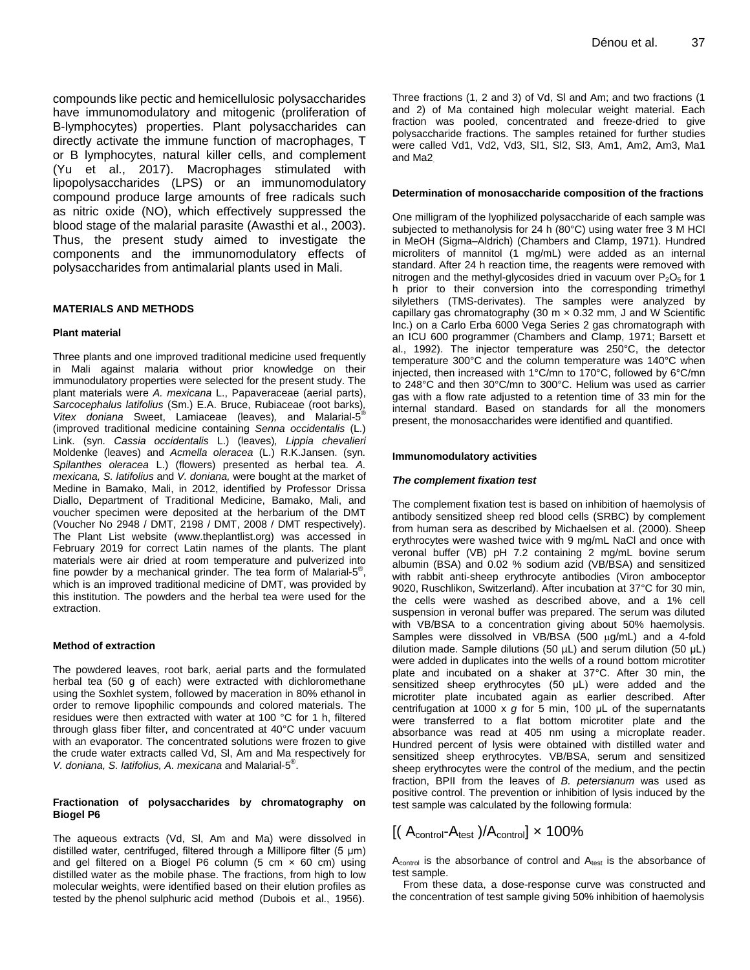compounds like pectic and hemicellulosic polysaccharides have immunomodulatory and mitogenic (proliferation of B-lymphocytes) properties. Plant polysaccharides can directly activate the immune function of macrophages, T or B lymphocytes, natural killer cells, and complement (Yu et al., 2017). Macrophages stimulated with lipopolysaccharides (LPS) or an immunomodulatory compound produce large amounts of free radicals such as nitric oxide (NO), which effectively suppressed the blood stage of the malarial parasite (Awasthi et al., 2003). Thus, the present study aimed to investigate the components and the immunomodulatory effects of polysaccharides from antimalarial plants used in Mali.

## **MATERIALS AND METHODS**

#### **Plant material**

Three plants and one improved traditional medicine used frequently in Mali against malaria without prior knowledge on their immunodulatory properties were selected for the present study. The plant materials were *A. mexicana* L., Papaveraceae (aerial parts), *Sarcocephalus latifolius* (Sm.) E.A. Bruce, Rubiaceae (root barks)*, Vitex doniana* Sweet, Lamiaceae (leaves)*,* and Malarial-5 ® (improved traditional medicine containing *Senna [occidentalis](http://www.theplantlist.org/tpl1.1/record/ild-1086)* (L.) [Link.](http://www.theplantlist.org/tpl1.1/record/ild-1086) (syn*. Cassia occidentalis* L.) (leaves)*, Lippia chevalieri* Moldenke (leaves) and *Acmella oleracea* [\(L.\) R.K.Jansen.](http://www.theplantlist.org/tpl1.1/record/gcc-142218) (syn*. Spilanthes oleracea* L.) (flowers) presented as herbal tea. *A. mexicana, S. latifolius* and *V. doniana,* were bought at the market of Medine in Bamako, Mali, in 2012, identified by Professor Drissa Diallo, Department of Traditional Medicine, Bamako, Mali, and voucher specimen were deposited at the herbarium of the DMT (Voucher No 2948 / DMT, 2198 / DMT, 2008 / DMT respectively). The Plant List website (www.theplantlist.org) was accessed in February 2019 for correct Latin names of the plants. The plant materials were air dried at room temperature and pulverized into fine powder by a mechanical grinder. The tea form of Malarial-5<sup>®</sup>, which is an improved traditional medicine of DMT, was provided by this institution. The powders and the herbal tea were used for the extraction.

#### **Method of extraction**

The powdered leaves, root bark, aerial parts and the formulated herbal tea (50 g of each) were extracted with dichloromethane using the Soxhlet system, followed by maceration in 80% ethanol in order to remove lipophilic compounds and colored materials. The residues were then extracted with water at 100 °C for 1 h, filtered through glass fiber filter, and concentrated at 40°C under vacuum with an evaporator. The concentrated solutions were frozen to give the crude water extracts called Vd, Sl, Am and Ma respectively for *V. doniana, S. latifolius, A. mexicana* and Malarial-5 ® .

#### **Fractionation of polysaccharides by chromatography on Biogel P6**

The aqueous extracts (Vd, Sl, Am and Ma) were dissolved in distilled water, centrifuged, filtered through a Millipore filter (5 μm) and gel filtered on a Biogel P6 column (5 cm  $\times$  60 cm) using distilled water as the mobile phase. The fractions, from high to low molecular weights, were identified based on their elution profiles as tested by the phenol sulphuric acid method (Dubois et al., 1956).

Three fractions (1, 2 and 3) of Vd, Sl and Am; and two fractions (1 and 2) of Ma contained high molecular weight material. Each fraction was pooled, concentrated and freeze-dried to give polysaccharide fractions. The samples retained for further studies were called Vd1, Vd2, Vd3, Sl1, Sl2, Sl3, Am1, Am2, Am3, Ma1 and Ma2.

#### **Determination of monosaccharide composition of the fractions**

One milligram of the lyophilized polysaccharide of each sample was subjected to methanolysis for 24 h (80°C) using water free 3 M HCl in MeOH (Sigma–Aldrich) (Chambers and Clamp, 1971). Hundred microliters of mannitol (1 mg/mL) were added as an internal standard. After 24 h reaction time, the reagents were removed with nitrogen and the methyl-glycosides dried in vacuum over  $P_2O_5$  for 1 h prior to their conversion into the corresponding trimethyl silylethers (TMS-derivates). The samples were analyzed by capillary gas chromatography (30 m  $\times$  0.32 mm, J and W Scientific Inc.) on a Carlo Erba 6000 Vega Series 2 gas chromatograph with an ICU 600 programmer (Chambers and Clamp, 1971; Barsett et al., 1992). The injector temperature was 250°C, the detector temperature 300°C and the column temperature was 140°C when injected, then increased with 1°C/mn to 170°C, followed by 6°C/mn to 248°C and then 30°C/mn to 300°C. Helium was used as carrier gas with a flow rate adjusted to a retention time of 33 min for the internal standard. Based on standards for all the monomers present, the monosaccharides were identified and quantified.

#### **Immunomodulatory activities**

#### *The complement fixation test*

The complement fixation test is based on inhibition of haemolysis of antibody sensitized sheep red blood cells (SRBC) by complement from human sera as described by Michaelsen et al. (2000). Sheep erythrocytes were washed twice with 9 mg/mL NaCl and once with veronal buffer (VB) pH 7.2 containing 2 mg/mL bovine serum albumin (BSA) and 0.02 % sodium azid (VB/BSA) and sensitized with rabbit anti-sheep erythrocyte antibodies (Viron amboceptor 9020, Ruschlikon, Switzerland). After incubation at 37°C for 30 min, the cells were washed as described above, and a 1% cell suspension in veronal buffer was prepared. The serum was diluted with VB/BSA to a concentration giving about 50% haemolysis. Samples were dissolved in VB/BSA  $(500 \mu q/mL)$  and a 4-fold dilution made. Sample dilutions (50 µL) and serum dilution (50 μL) were added in duplicates into the wells of a round bottom microtiter plate and incubated on a shaker at 37°C. After 30 min, the sensitized sheep erythrocytes (50 μL) were added and the microtiter plate incubated again as earlier described. After centrifugation at 1000 x *g* for 5 min, 100 μL of the supernatants were transferred to a flat bottom microtiter plate and the absorbance was read at 405 nm using a microplate reader. Hundred percent of lysis were obtained with distilled water and sensitized sheep erythrocytes. VB/BSA, serum and sensitized sheep erythrocytes were the control of the medium, and the pectin fraction, BPII from the leaves of *B. petersianum* was used as positive control. The prevention or inhibition of lysis induced by the test sample was calculated by the following formula:

 $A_{control}$  is the absorbance of control and  $A_{test}$  is the absorbance of test sample.  $\text{t}_\text{control}$  is the absorbance of control and  $A_\text{test}$  is the absorbance of<br>test sample.<br>From these data, a dose-response curve was constructed and<br>the concentration of test sample giving 50% inhibition of haemolysis

From these data, a dose-response curve was constructed and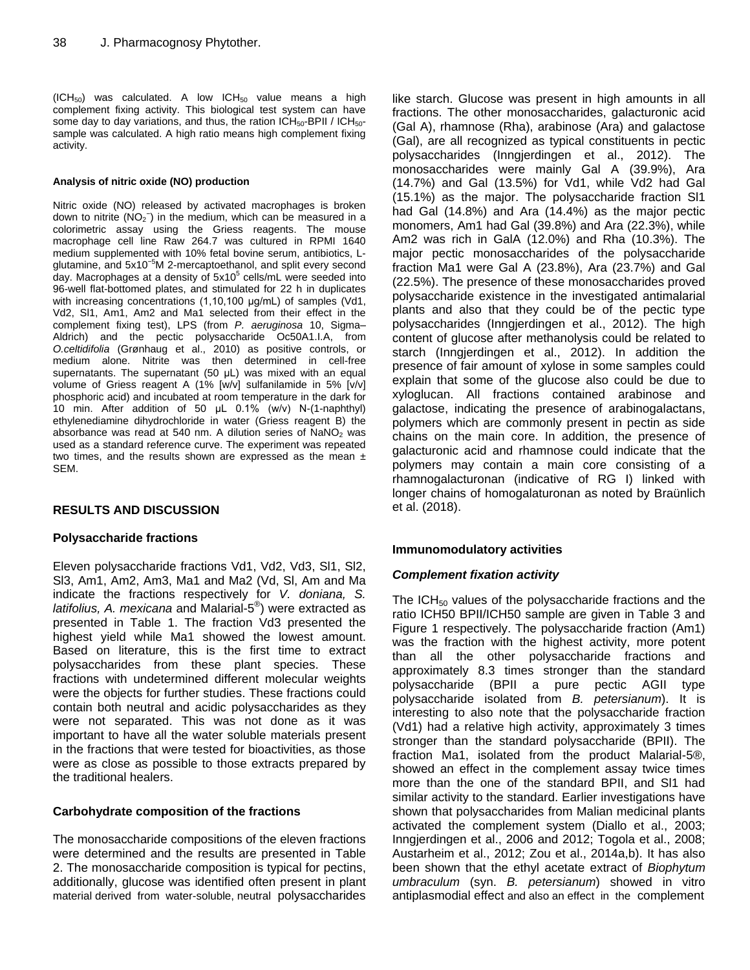$(ICH<sub>50</sub>)$  was calculated. A low ICH<sub>50</sub> value means a high complement fixing activity. This biological test system can have some day to day variations, and thus, the ration  $ICH_{50}$ -BPII /  $ICH_{50}$ sample was calculated. A high ratio means high complement fixing activity.

#### **Analysis of nitric oxide (NO) production**

Nitric oxide (NO) released by activated macrophages is broken down to nitrite  $(NO<sub>2</sub><sup>-</sup>)$  in the medium, which can be measured in a colorimetric assay using the Griess reagents. The mouse macrophage cell line Raw 264.7 was cultured in RPMI 1640 medium supplemented with 10% fetal bovine serum, antibiotics, Lglutamine, and 5x10<sup>-5</sup>M 2-mercaptoethanol, and split every second day. Macrophages at a density of 5x10<sup>5</sup> cells/mL were seeded into 96-well flat-bottomed plates, and stimulated for 22 h in duplicates with increasing concentrations (1,10,100 μg/mL) of samples (Vd1, Vd2, Sl1, Am1, Am2 and Ma1 selected from their effect in the complement fixing test), LPS (from *P. aeruginosa* 10, Sigma– Aldrich) and the pectic polysaccharide Oc50A1.I.A, from *O.celtidifolia* (Grønhaug et al., 2010) as positive controls, or medium alone. Nitrite was then determined in cell-free supernatants. The supernatant (50 μL) was mixed with an equal volume of Griess reagent A (1% [w/v] sulfanilamide in 5% [v/v] phosphoric acid) and incubated at room temperature in the dark for 10 min. After addition of 50 μL 0.1% (w/v) N-(1-naphthyl) ethylenediamine dihydrochloride in water (Griess reagent B) the absorbance was read at 540 nm. A dilution series of  $NaNO<sub>2</sub>$  was used as a standard reference curve. The experiment was repeated two times, and the results shown are expressed as the mean  $\pm$ SEM.

# **RESULTS AND DISCUSSION**

# **Polysaccharide fractions**

Eleven polysaccharide fractions Vd1, Vd2, Vd3, Sl1, Sl2, Sl3, Am1, Am2, Am3, Ma1 and Ma2 (Vd, Sl, Am and Ma indicate the fractions respectively for *V. doniana, S. latifolius, A. mexicana* and Malarial-5 ® ) were extracted as presented in Table 1. The fraction Vd3 presented the highest yield while Ma1 showed the lowest amount. Based on literature, this is the first time to extract polysaccharides from these plant species. These fractions with undetermined different molecular weights were the objects for further studies. These fractions could contain both neutral and acidic polysaccharides as they were not separated. This was not done as it was important to have all the water soluble materials present in the fractions that were tested for bioactivities, as those were as close as possible to those extracts prepared by the traditional healers.

# **Carbohydrate composition of the fractions**

The monosaccharide compositions of the eleven fractions were determined and the results are presented in Table 2. The monosaccharide composition is typical for pectins, additionally, glucose was identified often present in plant material derived from water-soluble, neutral polysaccharides

like starch. Glucose was present in high amounts in all fractions. The other monosaccharides, galacturonic acid (Gal A), rhamnose (Rha), arabinose (Ara) and galactose (Gal), are all recognized as typical constituents in pectic polysaccharides (Inngjerdingen et al., 2012). The monosaccharides were mainly Gal A (39.9%), Ara (14.7%) and Gal (13.5%) for Vd1, while Vd2 had Gal (15.1%) as the major. The polysaccharide fraction Sl1 had Gal (14.8%) and Ara (14.4%) as the major pectic monomers, Am1 had Gal (39.8%) and Ara (22.3%), while Am2 was rich in GalA (12.0%) and Rha (10.3%). The major pectic monosaccharides of the polysaccharide fraction Ma1 were Gal A (23.8%), Ara (23.7%) and Gal (22.5%). The presence of these monosaccharides proved polysaccharide existence in the investigated antimalarial plants and also that they could be of the pectic type polysaccharides (Inngjerdingen et al., 2012). The high content of glucose after methanolysis could be related to starch (Inngjerdingen et al., 2012). In addition the presence of fair amount of xylose in some samples could explain that some of the glucose also could be due to xyloglucan. All fractions contained arabinose and galactose, indicating the presence of arabinogalactans, polymers which are commonly present in pectin as side chains on the main core. In addition, the presence of galacturonic acid and rhamnose could indicate that the polymers may contain a main core consisting of a rhamnogalacturonan (indicative of RG I) linked with longer chains of homogalaturonan as noted by Braünlich et al. (2018).

# **Immunomodulatory activities**

# *Complement fixation activity*

The ICH $_{50}$  values of the polysaccharide fractions and the ratio ICH50 BPII/ICH50 sample are given in Table 3 and Figure 1 respectively. The polysaccharide fraction (Am1) was the fraction with the highest activity, more potent than all the other polysaccharide fractions and approximately 8.3 times stronger than the standard polysaccharide (BPII a pure pectic AGII type polysaccharide isolated from *B. petersianum*). It is interesting to also note that the polysaccharide fraction (Vd1) had a relative high activity, approximately 3 times stronger than the standard polysaccharide (BPII). The fraction Ma1, isolated from the product Malarial-5®, showed an effect in the complement assay twice times more than the one of the standard BPII, and Sl1 had similar activity to the standard. Earlier investigations have shown that polysaccharides from Malian medicinal plants activated the complement system (Diallo et al., 2003; Inngjerdingen et al., 2006 and 2012; Togola et al., 2008; Austarheim et al., 2012; Zou et al., 2014a,b). It has also been shown that the ethyl acetate extract of *Biophytum umbraculum* (syn. *B. petersianum*) showed in vitro antiplasmodial effect and also an effect in the complement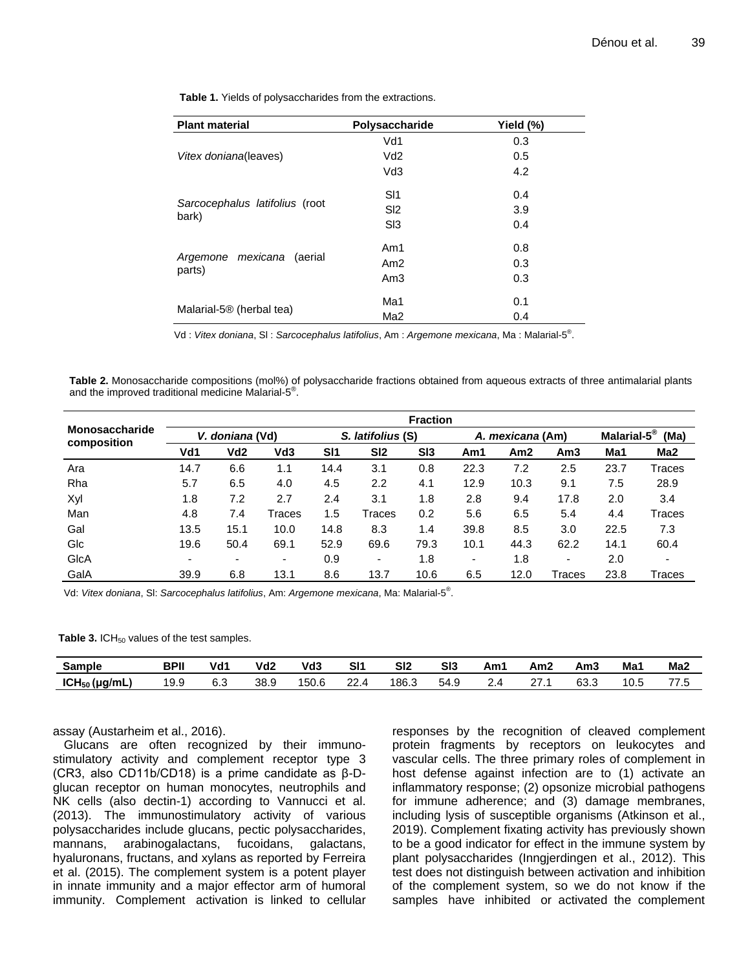| <b>Plant material</b>                | Polysaccharide  | Yield (%) |  |  |
|--------------------------------------|-----------------|-----------|--|--|
|                                      | Vd1             | 0.3       |  |  |
| Vitex doniana(leaves)                | Vd <sub>2</sub> | 0.5       |  |  |
|                                      | Vd3             | 4.2       |  |  |
|                                      | SI1             | 0.4       |  |  |
| Sarcocephalus latifolius (root       | S <sub>12</sub> | 3.9       |  |  |
| bark)                                | S <sub>13</sub> | 0.4       |  |  |
|                                      | Am1             | 0.8       |  |  |
| Argemone mexicana (aerial<br>parts)  | Am2             | 0.3       |  |  |
|                                      | Am3             | 0.3       |  |  |
|                                      | Ma1             | 0.1       |  |  |
| Malarial-5 <sup>®</sup> (herbal tea) | Ma <sub>2</sub> | 0.4       |  |  |

**Table 1.** Yields of polysaccharides from the extractions.

Vd : *Vitex doniana*, Sl : *Sarcocephalus latifolius*, Am : *Argemone mexicana*, Ma : Malarial-5 ® .

**Table 2.** Monosaccharide compositions (mol%) of polysaccharide fractions obtained from aqueous extracts of three antimalarial plants and the improved traditional medicine Malarial-5 ® .

| <b>Monosaccharide</b><br>composition | <b>Fraction</b> |      |                 |                   |                          |                 |                  |      |        |                                 |                 |  |
|--------------------------------------|-----------------|------|-----------------|-------------------|--------------------------|-----------------|------------------|------|--------|---------------------------------|-----------------|--|
|                                      | V. doniana (Vd) |      |                 | S. latifolius (S) |                          |                 | A. mexicana (Am) |      |        | Malarial-5 <sup>®</sup><br>(Ma) |                 |  |
|                                      | Vd1             | Vd2  | Vd <sub>3</sub> | SI1               | SI2                      | S <sub>13</sub> | Am1              | Am2  | Am3    | Ma1                             | Ma <sub>2</sub> |  |
| Ara                                  | 14.7            | 6.6  | 1.1             | 14.4              | 3.1                      | 0.8             | 22.3             | 7.2  | 2.5    | 23.7                            | Traces          |  |
| Rha                                  | 5.7             | 6.5  | 4.0             | 4.5               | 2.2                      | 4.1             | 12.9             | 10.3 | 9.1    | 7.5                             | 28.9            |  |
| Xyl                                  | 1.8             | 7.2  | 2.7             | 2.4               | 3.1                      | 1.8             | 2.8              | 9.4  | 17.8   | 2.0                             | 3.4             |  |
| Man                                  | 4.8             | 7.4  | Traces          | 1.5               | Traces                   | 0.2             | 5.6              | 6.5  | 5.4    | 4.4                             | Traces          |  |
| Gal                                  | 13.5            | 15.1 | 10.0            | 14.8              | 8.3                      | 1.4             | 39.8             | 8.5  | 3.0    | 22.5                            | 7.3             |  |
| Glc                                  | 19.6            | 50.4 | 69.1            | 52.9              | 69.6                     | 79.3            | 10.1             | 44.3 | 62.2   | 14.1                            | 60.4            |  |
| GlcA                                 |                 | ۰    | ۰               | 0.9               | $\overline{\phantom{0}}$ | 1.8             | ۰                | 1.8  | ۰      | 2.0                             | -               |  |
| GalA                                 | 39.9            | 6.8  | 13.1            | 8.6               | 13.7                     | 10.6            | 6.5              | 12.0 | Traces | 23.8                            | Traces          |  |

Vd: *Vitex doniana*, Sl: *Sarcocephalus latifolius*, Am: *Argemone mexicana*, Ma: Malarial-5 ® .

Table 3. ICH<sub>50</sub> values of the test samples.

| Sample          | BPII | Vd1 | Vd2  | Vd3   | SI1         | SI <sub>2</sub> | SI3  | Am1 | Am2 | Am3  | Ma <sup>-</sup> | Ma <sub>2</sub> |
|-----------------|------|-----|------|-------|-------------|-----------------|------|-----|-----|------|-----------------|-----------------|
| $ICH50$ (µg/mL) | 19.9 | 6.3 | 38.9 | 150.6 | ົດຕ<br>22.0 | 186.3           | 54.9 |     |     | 63.3 | 10.L            | . ن             |

assay (Austarheim et al., 2016).

Glucans are often recognized by their immunostimulatory activity and complement receptor type 3 (CR3, also CD11b/CD18) is a prime candidate as β-Dglucan receptor on human monocytes, neutrophils and NK cells (also dectin-1) according to Vannucci et al. (2013). The immunostimulatory activity of various polysaccharides include glucans, pectic polysaccharides, mannans, arabinogalactans, fucoidans, galactans, hyaluronans, fructans, and xylans as reported by Ferreira et al. (2015). The complement system is a potent player in innate immunity and a major effector arm of humoral immunity. Complement activation is linked to cellular responses by the recognition of cleaved complement protein fragments by receptors on leukocytes and vascular cells. The three primary roles of complement in host defense against infection are to (1) activate an inflammatory response; (2) opsonize microbial pathogens for immune adherence; and (3) damage membranes, including lysis of susceptible organisms (Atkinson et al., 2019). Complement fixating activity has previously shown to be a good indicator for effect in the immune system by plant polysaccharides (Inngjerdingen et al., 2012). This test does not distinguish between activation and inhibition of the complement system, so we do not know if the samples have inhibited or activated the complement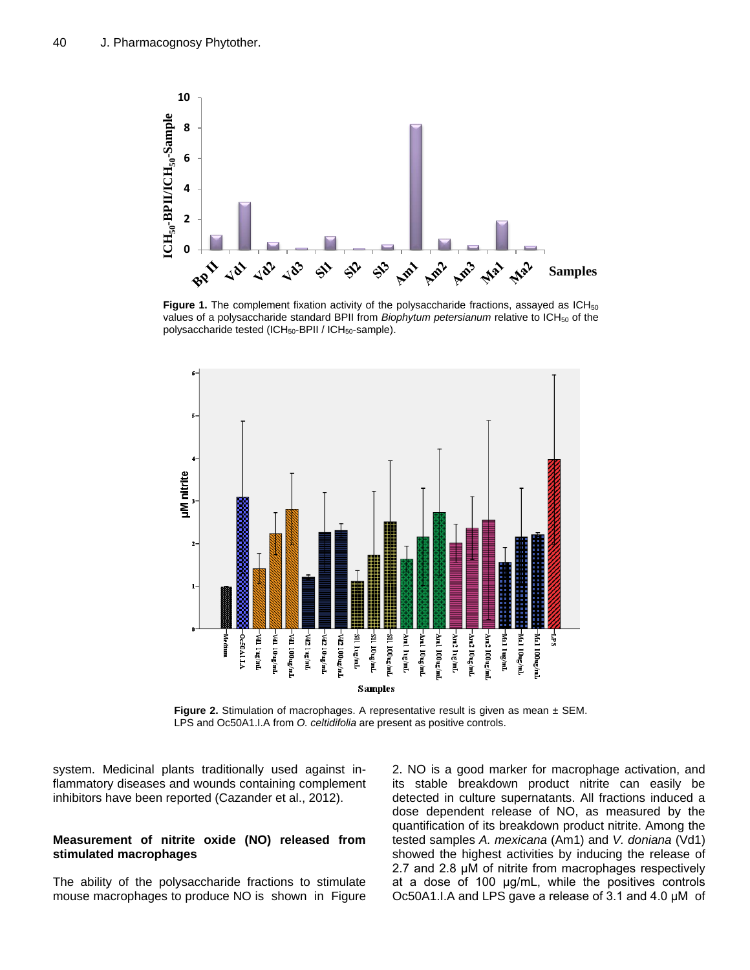

Figure 1. The complement fixation activity of the polysaccharide fractions, assayed as ICH<sub>50</sub> values of a polysaccharide standard BPII from *Biophytum petersianum* relative to ICH<sub>50</sub> of the polysaccharide tested (ICH<sub>50</sub>-BPII / ICH<sub>50</sub>-sample).



**Figure 2.** Stimulation of macrophages. A representative result is given as mean  $\pm$  SEM. LPS and Oc50A1.I.A from *O. celtidifolia* are present as positive controls.

system. Medicinal plants traditionally used against inflammatory diseases and wounds containing complement inhibitors have been reported (Cazander et al., 2012).

#### **Measurement of nitrite oxide (NO) released from stimulated macrophages**

The ability of the polysaccharide fractions to stimulate mouse macrophages to produce NO is shown in Figure

2. NO is a good marker for macrophage activation, and its stable breakdown product nitrite can easily be detected in culture supernatants. All fractions induced a dose dependent release of NO, as measured by the quantification of its breakdown product nitrite. Among the tested samples *A. mexicana* (Am1) and *V. doniana* (Vd1) showed the highest activities by inducing the release of 2.7 and 2.8 μM of nitrite from macrophages respectively at a dose of 100 μg/mL, while the positives controls Oc50A1.I.A and LPS gave a release of 3.1 and 4.0 μM of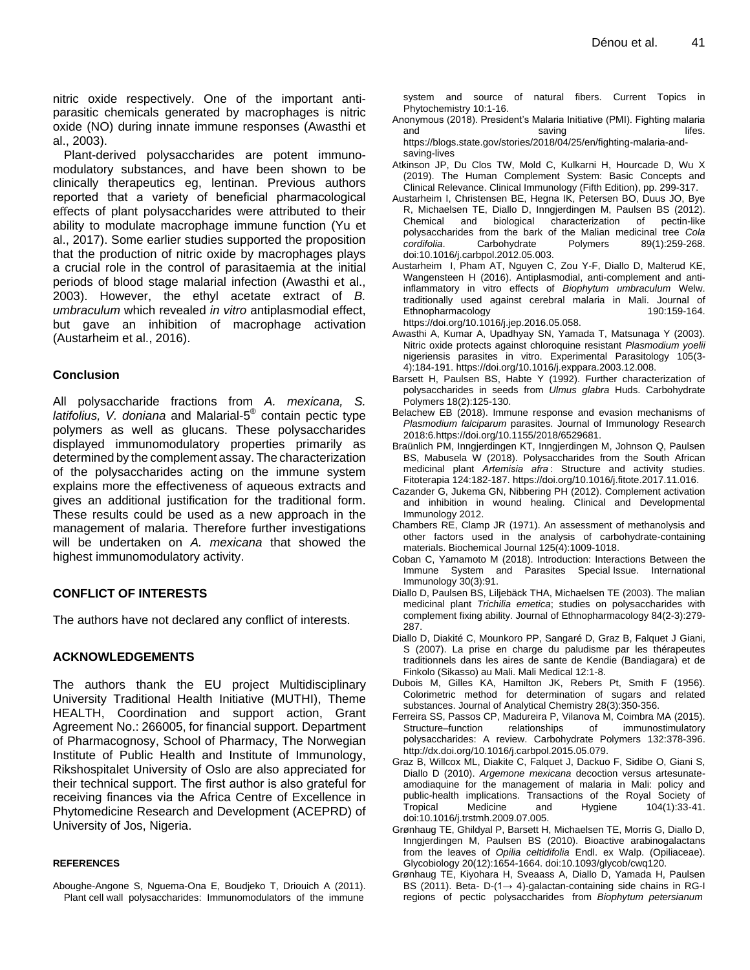nitric oxide respectively. One of the important antiparasitic chemicals generated by macrophages is nitric oxide (NO) during innate immune responses (Awasthi et al., 2003).

Plant-derived polysaccharides are potent immunomodulatory substances, and have been shown to be clinically therapeutics eg, lentinan. Previous authors reported that a variety of beneficial pharmacological effects of plant polysaccharides were attributed to their ability to modulate macrophage immune function (Yu et al., 2017). Some earlier studies supported the proposition that the production of nitric oxide by macrophages plays a crucial role in the control of parasitaemia at the initial periods of blood stage malarial infection (Awasthi et al., 2003). However, the ethyl acetate extract of *B. umbraculum* which revealed *in vitro* antiplasmodial effect, but gave an inhibition of macrophage activation (Austarheim et al., 2016).

#### **Conclusion**

All polysaccharide fractions from *A. mexicana, S. latifolius, V. doniana* and Malarial-5 ® contain pectic type polymers as well as glucans. These polysaccharides displayed immunomodulatory properties primarily as determined by the complement assay. The characterization of the polysaccharides acting on the immune system explains more the effectiveness of aqueous extracts and gives an additional justification for the traditional form. These results could be used as a new approach in the management of malaria. Therefore further investigations will be undertaken on *A. mexicana* that showed the highest immunomodulatory activity.

## **CONFLICT OF INTERESTS**

The authors have not declared any conflict of interests.

#### **ACKNOWLEDGEMENTS**

The authors thank the EU project Multidisciplinary University Traditional Health Initiative (MUTHI), Theme HEALTH, Coordination and support action, Grant Agreement No.: 266005, for financial support. Department of Pharmacognosy, School of Pharmacy, The Norwegian Institute of Public Health and Institute of Immunology, Rikshospitalet University of Oslo are also appreciated for their technical support. The first author is also grateful for receiving finances via the Africa Centre of Excellence in Phytomedicine Research and Development (ACEPRD) of University of Jos, Nigeria.

#### **REFERENCES**

Aboughe-Angone S, Nguema-Ona E, Boudjeko T, Driouich A (2011). Plant cell wall polysaccharides: Immunomodulators of the immune

system and source of natural fibers. Current Topics in Phytochemistry 10:1-16.

- Anonymous (2018). President's Malaria Initiative (PMI). Fighting malaria and saving saving say in the same same same say that say it is so that some same same same same same same same https://blogs.state.gov/stories/2018/04/25/en/fighting-malaria-andsaving-lives
- Atkinson JP, Du Clos TW, Mold C, Kulkarni H, Hourcade D, Wu X (2019). The Human Complement System: Basic Concepts and Clinical Relevance. Clinical Immunology (Fifth Edition), pp. 299-317.
- Austarheim I, Christensen BE, Hegna IK, Petersen BO, Duus JO, Bye R, Michaelsen TE, Diallo D, Inngjerdingen M, Paulsen BS (2012). Chemical and biological characterization of pectin-like polysaccharides from the bark of the Malian medicinal tree *Cola cordifolia*. Carbohydrate Polymers 89(1):259-268. doi:10.1016/j.carbpol.2012.05.003.
- Austarheim I, Pham AT, Nguyen C, Zou Y-F, Diallo D, Malterud KE, Wangensteen H (2016). Antiplasmodial, anti-complement and antiinflammatory in vitro effects of *Biophytum umbraculum* Welw. traditionally used against cerebral malaria in Mali. Journal of Ethnopharmacology 190:159-164.
- https://doi.org/10.1016/j.jep.2016.05.058. Awasthi A, Kumar A, Upadhyay SN, Yamada T, Matsunaga Y (2003). Nitric oxide protects against chloroquine resistant *Plasmodium yoelii* nigeriensis parasites in vitro. Experimental Parasitology 105(3- 4):184-191. https://doi.org/10.1016/j.exppara.2003.12.008.
- Barsett H, Paulsen BS, Habte Y (1992). Further characterization of polysaccharides in seeds from *Ulmus glabra* Huds. Carbohydrate Polymers 18(2):125-130.
- Belachew EB (2018). Immune response and evasion mechanisms of *Plasmodium falciparum* parasites. Journal of Immunology Research 2018:6.https://doi.org/10.1155/2018/6529681.
- Braünlich PM, Inngjerdingen KT, Inngjerdingen M, Johnson Q, Paulsen BS, Mabusela W (2018). Polysaccharides from the South African medicinal plant *Artemisia afra*: Structure and activity studies. Fitoterapia 124:182-187. https://doi.org/10.1016/j.fitote.2017.11.016.
- Cazander G, Jukema GN, Nibbering PH (2012). Complement activation and inhibition in wound healing. Clinical and Developmental Immunology 2012.
- Chambers RE, Clamp JR (1971). An assessment of methanolysis and other factors used in the analysis of carbohydrate-containing materials. Biochemical Journal 125(4):1009-1018.
- Coban C, Yamamoto M (2018). Introduction: Interactions Between the Immune System and Parasites Special Issue. International Immunology 30(3):91.
- Diallo D, Paulsen BS, Liljebäck THA, Michaelsen TE (2003). The malian medicinal plant *Trichilia emetica*; studies on polysaccharides with complement fixing ability. Journal of Ethnopharmacology 84(2-3):279- 287.
- Diallo D, Diakité C, Mounkoro PP, Sangaré D, Graz B, Falquet J Giani, S (2007). La prise en charge du paludisme par les thérapeutes traditionnels dans les aires de sante de Kendie (Bandiagara) et de Finkolo (Sikasso) au Mali. Mali Medical 12:1-8.
- Dubois M, Gilles KA, Hamilton JK, Rebers Pt, Smith F (1956). Colorimetric method for determination of sugars and related substances. Journal of Analytical Chemistry 28(3):350-356.
- Ferreira SS, Passos CP, Madureira P, Vilanova M, Coimbra MA (2015). Structure–function relationships of immunostimulatory polysaccharides: A review. Carbohydrate Polymers 132:378-396. http://dx.doi.org/10.1016/j.carbpol.2015.05.079.
- Graz B, Willcox ML, Diakite C, Falquet J, Dackuo F, Sidibe O, Giani S, Diallo D (2010). *Argemone mexicana* decoction versus artesunateamodiaquine for the management of malaria in Mali: policy and public-health implications. Transactions of the Royal Society of Tropical Medicine and Hygiene 104(1):33-41. doi:10.1016/j.trstmh.2009.07.005.
- Grønhaug TE, Ghildyal P, Barsett H, Michaelsen TE, Morris G, Diallo D, Inngjerdingen M, Paulsen BS (2010). Bioactive arabinogalactans from the leaves of *Opilia celtidifolia* Endl. ex Walp. (Opiliaceae). Glycobiology 20(12):1654-1664. doi:10.1093/glycob/cwq120.
- Grønhaug TE, Kiyohara H, Sveaass A, Diallo D, Yamada H, Paulsen BS (2011). Beta- D-(1→ 4)-galactan-containing side chains in RG-I regions of pectic polysaccharides from *Biophytum petersianum*